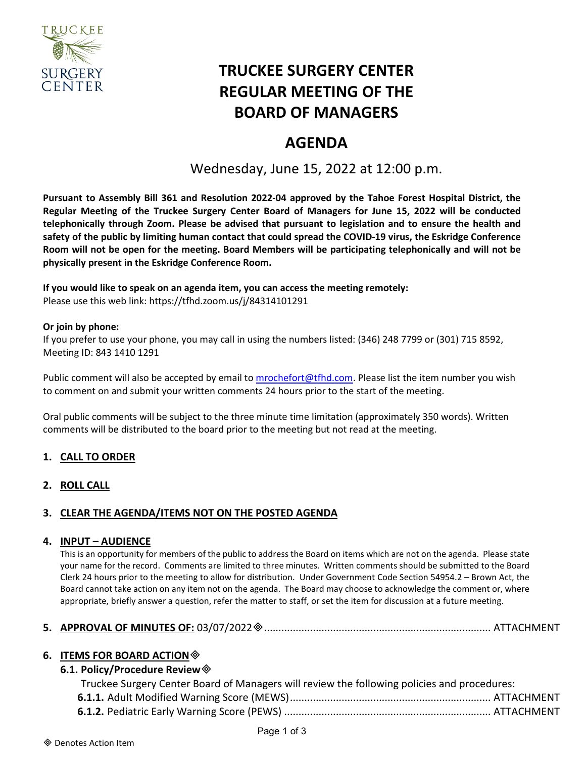

# **TRUCKEE SURGERY CENTER REGULAR MEETING OF THE BOARD OF MANAGERS**

## **AGENDA**

Wednesday, June 15, 2022 at 12:00 p.m.

**Pursuant to Assembly Bill 361 and Resolution 2022-04 approved by the Tahoe Forest Hospital District, the Regular Meeting of the Truckee Surgery Center Board of Managers for June 15, 2022 will be conducted telephonically through Zoom. Please be advised that pursuant to legislation and to ensure the health and safety of the public by limiting human contact that could spread the COVID-19 virus, the Eskridge Conference Room will not be open for the meeting. Board Members will be participating telephonically and will not be physically present in the Eskridge Conference Room.**

## **If you would like to speak on an agenda item, you can access the meeting remotely:**

Please use this web link: <https://tfhd.zoom.us/j/84314101291>

#### **Or join by phone:**

If you prefer to use your phone, you may call in using the numbers listed: (346) 248 7799 or (301) 715 8592, Meeting ID: 843 1410 1291

Public comment will also be accepted by email to [mrochefort@tfhd.com.](mailto:mrochefort@tfhd.com) Please list the item number you wish to comment on and submit your written comments 24 hours prior to the start of the meeting.

Oral public comments will be subject to the three minute time limitation (approximately 350 words). Written comments will be distributed to the board prior to the meeting but not read at the meeting.

## **1. CALL TO ORDER**

#### **2. ROLL CALL**

## **3. CLEAR THE AGENDA/ITEMS NOT ON THE POSTED AGENDA**

#### **4. INPUT – AUDIENCE**

This is an opportunity for members of the public to address the Board on items which are not on the agenda. Please state your name for the record. Comments are limited to three minutes. Written comments should be submitted to the Board Clerk 24 hours prior to the meeting to allow for distribution. Under Government Code Section 54954.2 – Brown Act, the Board cannot take action on any item not on the agenda. The Board may choose to acknowledge the comment or, where appropriate, briefly answer a question, refer the matter to staff, or set the item for discussion at a future meeting.

## **5. APPROVAL OF MINUTES OF:** 03/07/2022............................................................................... ATTACHMENT

#### **6. ITEMS FOR BOARD ACTION**

#### **6.1. Policy/Procedure Review**

| Truckee Surgery Center Board of Managers will review the following policies and procedures: |  |
|---------------------------------------------------------------------------------------------|--|
|                                                                                             |  |
|                                                                                             |  |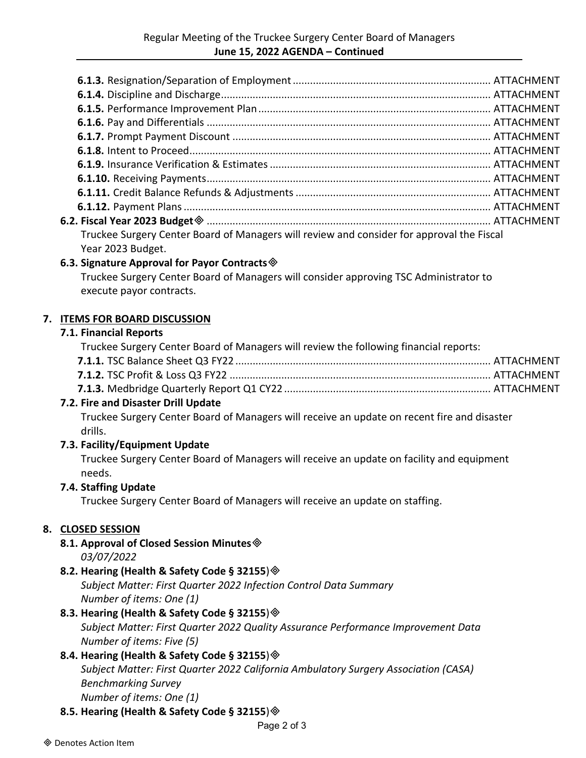| 6.2. Fiscal Year 2023 Budget  Sammann Mann Mann Mann ann ann ann an ATTACHMENT            |  |
|-------------------------------------------------------------------------------------------|--|
| Truckee Surgery Center Board of Managers will review and consider for approval the Fiscal |  |
| Year 2023 Budget.                                                                         |  |
| 6.3. Signature Approval for Payor Contracts $\otimes$                                     |  |

Truckee Surgery Center Board of Managers will consider approving TSC Administrator to execute payor contracts.

#### **7. ITEMS FOR BOARD DISCUSSION**

#### **7.1. Financial Reports**

| Truckee Surgery Center Board of Managers will review the following financial reports: |  |
|---------------------------------------------------------------------------------------|--|
|                                                                                       |  |
|                                                                                       |  |
|                                                                                       |  |
|                                                                                       |  |

#### **7.2. Fire and Disaster Drill Update**

Truckee Surgery Center Board of Managers will receive an update on recent fire and disaster drills.

#### **7.3. Facility/Equipment Update**

Truckee Surgery Center Board of Managers will receive an update on facility and equipment needs.

#### **7.4. Staffing Update**

Truckee Surgery Center Board of Managers will receive an update on staffing.

## **8. CLOSED SESSION**

**8.1. Approval of Closed Session Minutes** *03/07/2022*

#### **8.2. Hearing (Health & Safety Code § 32155**)

*Subject Matter: First Quarter 2022 Infection Control Data Summary Number of items: One (1)*

#### **8.3. Hearing (Health & Safety Code § 32155**)

*Subject Matter: First Quarter 2022 Quality Assurance Performance Improvement Data Number of items: Five (5)*

#### **8.4. Hearing (Health & Safety Code § 32155**)

*Subject Matter: First Quarter 2022 California Ambulatory Surgery Association (CASA) Benchmarking Survey*

*Number of items: One (1)*

## **8.5. Hearing (Health & Safety Code § 32155**)